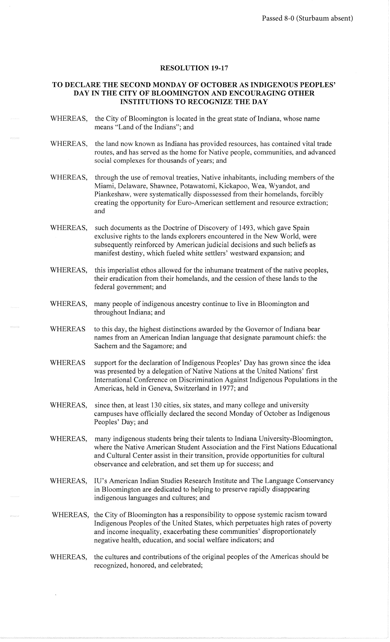## RESOLUTION 19-17

## TO DECLARE THE SECOND MONDAY OF OCTOBER AS INDIGENOUS PEOPLES' DAY IN THE CITY OF BLOOMINGTON AND ENCOURAGING OTHER INSTITUTIONS TO RECOGNIZE THE DAY

- WHEREAS, the City of Bloomington is located in the great state of Indiana, whose name means "Land of the Indians"; and
- WHEREAS, the land now known as Indiana has provided resources, has contained vital trade routes, and has served as the home for Native people, communities, and advanced social complexes for thousands of years; and
- WHEREAS, through the use of removal treaties, Native inhabitants, including members of the Miami, Delaware, Shawnee, Potawatomi, Kickapoo, Wea, Wyandot, and Piankeshaw, were systematically dispossessed from their homelands, forcibly creating the opportunity for Euro-American settlement and resource extraction; and
- WHEREAS, such documents as the Doctrine of Discovery of 1493, which gave Spain exclusive rights to the lands explorers encountered in the New World, were subsequently reinforced by American judicial decisions and such beliefs as manifest destiny, which fueled white settlers' westward expansion; and
- WHEREAS, this imperialist ethos allowed for the inhumane treatment of the native peoples, their eradication from their homelands, and the cession of these lands to the federal government; and
- WHEREAS, many people of indigenous ancestry continue to live in Bloomington and throughout Indiana; and
- WHEREAS to this day, the highest distinctions awarded by the Governor of Indiana bear names from an American Indian language that designate paramount chiefs: the Sachem and the Sagamore; and
- WHEREAS support for the declaration of Indigenous Peoples' Day has grown since the idea was presented by a delegation of Native Nations at the United Nations' first International Conference on Discrimination Against Indigenous Populations in the Americas, held in Geneva, Switzerland in 1977; and
- WHEREAS, since then, at least 130 cities, six states, and many college and university campuses have officially declared the second Monday of October as Indigenous Peoples' Day; and
- WHEREAS, many indigenous students bring their talents to Indiana University-Bloomington, where the Native American Student Association and the First Nations Educational and Cultural Center assist in their transition, provide opportunities for cultural observance and celebration, and set them up for success; and
- WHEREAS, IU's American Indian Studies Research Institute and The Language Conservancy in Bloomington are dedicated to helping to preserve rapidly disappearing indigenous languages and cultures; and
- WHEREAS, the City of Bloomington has a responsibility to oppose systemic racism toward Indigenous Peoples of the United States, which perpetuates high rates of poverty and income inequality, exacerbating these communities' disproportionately negative health, education, and social welfare indicators; and
- WHEREAS, the cultures and contributions of the original peoples of the Americas should be recognized, honored, and celebrated;